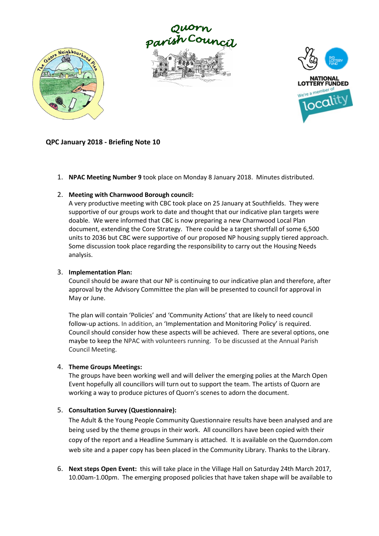





#### **QPC January 2018 - Briefing Note 10**

1. **NPAC Meeting Number 9** took place on Monday 8 January 2018. Minutes distributed.

#### 2. **Meeting with Charnwood Borough council:**

A very productive meeting with CBC took place on 25 January at Southfields. They were supportive of our groups work to date and thought that our indicative plan targets were doable. We were informed that CBC is now preparing a new Charnwood Local Plan document, extending the Core Strategy. There could be a target shortfall of some 6,500 units to 2036 but CBC were supportive of our proposed NP housing supply tiered approach. Some discussion took place regarding the responsibility to carry out the Housing Needs analysis.

#### 3. **Implementation Plan:**

Council should be aware that our NP is continuing to our indicative plan and therefore, after approval by the Advisory Committee the plan will be presented to council for approval in May or June.

The plan will contain 'Policies' and 'Community Actions' that are likely to need council follow-up actions. In addition, an 'Implementation and Monitoring Policy' is required. Council should consider how these aspects will be achieved. There are several options, one maybe to keep the NPAC with volunteers running. To be discussed at the Annual Parish Council Meeting.

#### 4. **Theme Groups Meetings:**

The groups have been working well and will deliver the emerging polies at the March Open Event hopefully all councillors will turn out to support the team. The artists of Quorn are working a way to produce pictures of Quorn's scenes to adorn the document.

#### 5. **Consultation Survey (Questionnaire):**

The Adult & the Young People Community Questionnaire results have been analysed and are being used by the theme groups in their work. All councillors have been copied with their copy of the report and a Headline Summary is attached. It is available on the Quorndon.com web site and a paper copy has been placed in the Community Library. Thanks to the Library.

6. **Next steps Open Event:** this will take place in the Village Hall on Saturday 24th March 2017, 10.00am-1.00pm. The emerging proposed policies that have taken shape will be available to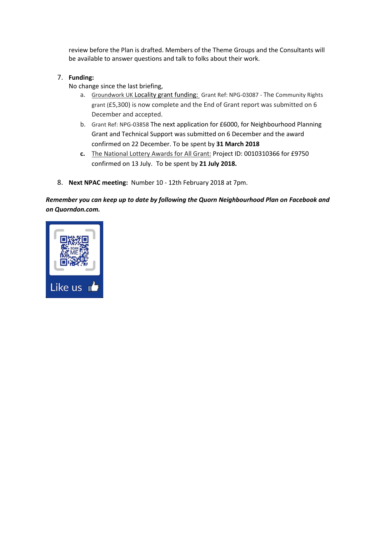review before the Plan is drafted. Members of the Theme Groups and the Consultants will be available to answer questions and talk to folks about their work.

- 7. **Funding:**
	- No change since the last briefing,
		- a. Groundwork UK Locality grant funding: Grant Ref: NPG-03087 The Community Rights grant (£5,300) is now complete and the End of Grant report was submitted on 6 December and accepted.
		- b. Grant Ref: NPG-03858 The next application for £6000, for Neighbourhood Planning Grant and Technical Support was submitted on 6 December and the award confirmed on 22 December. To be spent by **31 March 2018**
		- **c.** The National Lottery Awards for All Grant: Project ID: 0010310366 for £9750 confirmed on 13 July. To be spent by **21 July 2018.**
- 8. **Next NPAC meeting:** Number 10 12th February 2018 at 7pm.

*Remember you can keep up to date by following the Quorn Neighbourhood Plan on Facebook and on Quorndon.com.*

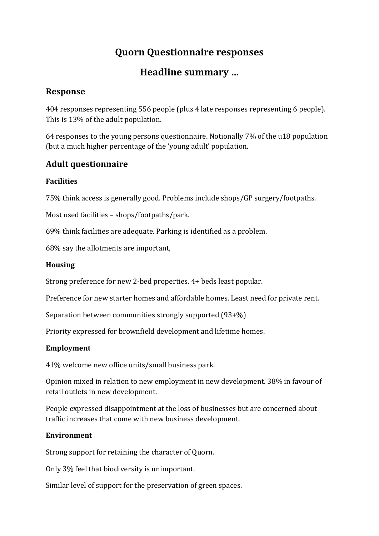# **Quorn Questionnaire responses**

# **Headline summary …**

## **Response**

404 responses representing 556 people (plus 4 late responses representing 6 people). This is 13% of the adult population.

64 responses to the young persons questionnaire. Notionally 7% of the u18 population (but a much higher percentage of the 'young adult' population.

## **Adult questionnaire**

### **Facilities**

75% think access is generally good. Problems include shops/GP surgery/footpaths.

Most used facilities – shops/footpaths/park.

69% think facilities are adequate. Parking is identified as a problem.

68% say the allotments are important,

#### **Housing**

Strong preference for new 2-bed properties. 4+ beds least popular.

Preference for new starter homes and affordable homes. Least need for private rent.

Separation between communities strongly supported (93+%)

Priority expressed for brownfield development and lifetime homes.

### **Employment**

41% welcome new office units/small business park.

Opinion mixed in relation to new employment in new development. 38% in favour of retail outlets in new development.

People expressed disappointment at the loss of businesses but are concerned about traffic increases that come with new business development.

### **Environment**

Strong support for retaining the character of Quorn.

Only 3% feel that biodiversity is unimportant.

Similar level of support for the preservation of green spaces.